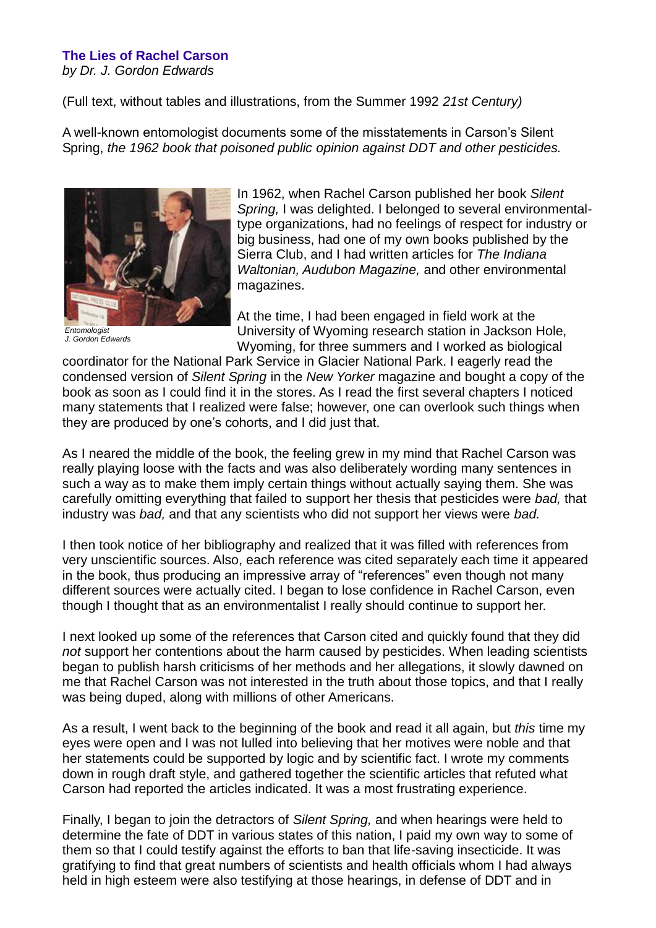## **The Lies of Rachel Carson**

*by Dr. J. Gordon Edwards*

(Full text, without tables and illustrations, from the Summer 1992 *21st Century)*

A well-known entomologist documents some of the misstatements in Carson's Silent Spring, *the 1962 book that poisoned public opinion against DDT and other pesticides.*



*Entomologist J. Gordon Edwards*

In 1962, when Rachel Carson published her book *Silent Spring,* I was delighted. I belonged to several environmentaltype organizations, had no feelings of respect for industry or big business, had one of my own books published by the Sierra Club, and I had written articles for *The Indiana Waltonian, Audubon Magazine,* and other environmental magazines.

At the time, I had been engaged in field work at the University of Wyoming research station in Jackson Hole, Wyoming, for three summers and I worked as biological

coordinator for the National Park Service in Glacier National Park. I eagerly read the condensed version of *Silent Spring* in the *New Yorker* magazine and bought a copy of the book as soon as I could find it in the stores. As I read the first several chapters I noticed many statements that I realized were false; however, one can overlook such things when they are produced by one's cohorts, and I did just that.

As I neared the middle of the book, the feeling grew in my mind that Rachel Carson was really playing loose with the facts and was also deliberately wording many sentences in such a way as to make them imply certain things without actually saying them. She was carefully omitting everything that failed to support her thesis that pesticides were *bad,* that industry was *bad,* and that any scientists who did not support her views were *bad.*

I then took notice of her bibliography and realized that it was filled with references from very unscientific sources. Also, each reference was cited separately each time it appeared in the book, thus producing an impressive array of "references" even though not many different sources were actually cited. I began to lose confidence in Rachel Carson, even though I thought that as an environmentalist I really should continue to support her.

I next looked up some of the references that Carson cited and quickly found that they did *not* support her contentions about the harm caused by pesticides. When leading scientists began to publish harsh criticisms of her methods and her allegations, it slowly dawned on me that Rachel Carson was not interested in the truth about those topics, and that I really was being duped, along with millions of other Americans.

As a result, I went back to the beginning of the book and read it all again, but *this* time my eyes were open and I was not lulled into believing that her motives were noble and that her statements could be supported by logic and by scientific fact. I wrote my comments down in rough draft style, and gathered together the scientific articles that refuted what Carson had reported the articles indicated. It was a most frustrating experience.

Finally, I began to join the detractors of *Silent Spring,* and when hearings were held to determine the fate of DDT in various states of this nation, I paid my own way to some of them so that I could testify against the efforts to ban that life-saving insecticide. It was gratifying to find that great numbers of scientists and health officials whom I had always held in high esteem were also testifying at those hearings, in defense of DDT and in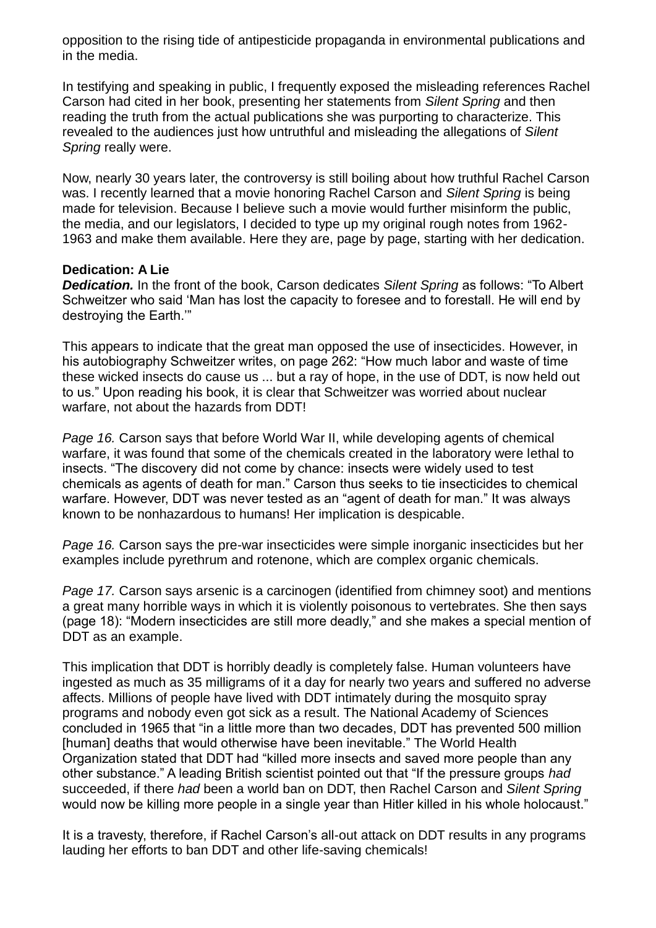opposition to the rising tide of antipesticide propaganda in environmental publications and in the media.

In testifying and speaking in public, I frequently exposed the misleading references Rachel Carson had cited in her book, presenting her statements from *Silent Spring* and then reading the truth from the actual publications she was purporting to characterize. This revealed to the audiences just how untruthful and misleading the allegations of *Silent Spring* really were.

Now, nearly 30 years later, the controversy is still boiling about how truthful Rachel Carson was. I recently learned that a movie honoring Rachel Carson and *Silent Spring* is being made for television. Because I believe such a movie would further misinform the public, the media, and our legislators, I decided to type up my original rough notes from 1962- 1963 and make them available. Here they are, page by page, starting with her dedication.

## **Dedication: A Lie**

*Dedication.* In the front of the book, Carson dedicates *Silent Spring* as follows: "To Albert Schweitzer who said 'Man has lost the capacity to foresee and to forestall. He will end by destroying the Earth.'"

This appears to indicate that the great man opposed the use of insecticides. However, in his autobiography Schweitzer writes, on page 262: "How much labor and waste of time these wicked insects do cause us ... but a ray of hope, in the use of DDT, is now held out to us." Upon reading his book, it is clear that Schweitzer was worried about nuclear warfare, not about the hazards from DDT!

*Page 16.* Carson says that before World War II, while developing agents of chemical warfare, it was found that some of the chemicals created in the laboratory were lethal to insects. "The discovery did not come by chance: insects were widely used to test chemicals as agents of death for man." Carson thus seeks to tie insecticides to chemical warfare. However, DDT was never tested as an "agent of death for man." It was always known to be nonhazardous to humans! Her implication is despicable.

*Page 16.* Carson says the pre-war insecticides were simple inorganic insecticides but her examples include pyrethrum and rotenone, which are complex organic chemicals.

*Page 17.* Carson says arsenic is a carcinogen (identified from chimney soot) and mentions a great many horrible ways in which it is violently poisonous to vertebrates. She then says (page 18): "Modern insecticides are still more deadly," and she makes a special mention of DDT as an example.

This implication that DDT is horribly deadly is completely false. Human volunteers have ingested as much as 35 milligrams of it a day for nearly two years and suffered no adverse affects. Millions of people have lived with DDT intimately during the mosquito spray programs and nobody even got sick as a result. The National Academy of Sciences concluded in 1965 that "in a little more than two decades, DDT has prevented 500 million [human] deaths that would otherwise have been inevitable." The World Health Organization stated that DDT had "killed more insects and saved more people than any other substance." A leading British scientist pointed out that "If the pressure groups *had* succeeded, if there *had* been a world ban on DDT, then Rachel Carson and *Silent Spring* would now be killing more people in a single year than Hitler killed in his whole holocaust."

It is a travesty, therefore, if Rachel Carson's all-out attack on DDT results in any programs lauding her efforts to ban DDT and other life-saving chemicals!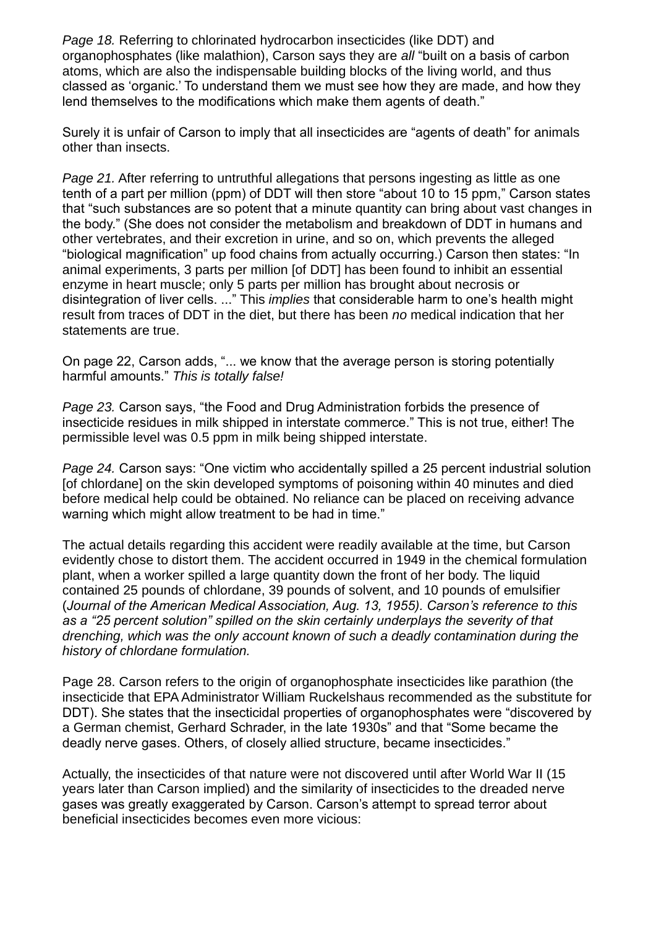*Page 18.* Referring to chlorinated hydrocarbon insecticides (like DDT) and organophosphates (like malathion), Carson says they are *all* "built on a basis of carbon atoms, which are also the indispensable building blocks of the living world, and thus classed as 'organic.' To understand them we must see how they are made, and how they lend themselves to the modifications which make them agents of death."

Surely it is unfair of Carson to imply that all insecticides are "agents of death" for animals other than insects.

*Page 21.* After referring to untruthful allegations that persons ingesting as little as one tenth of a part per million (ppm) of DDT will then store "about 10 to 15 ppm," Carson states that "such substances are so potent that a minute quantity can bring about vast changes in the body." (She does not consider the metabolism and breakdown of DDT in humans and other vertebrates, and their excretion in urine, and so on, which prevents the alleged "biological magnification" up food chains from actually occurring.) Carson then states: "In animal experiments, 3 parts per million [of DDT] has been found to inhibit an essential enzyme in heart muscle; only 5 parts per million has brought about necrosis or disintegration of liver cells. ..." This *implies* that considerable harm to one's health might result from traces of DDT in the diet, but there has been *no* medical indication that her statements are true.

On page 22, Carson adds, "... we know that the average person is storing potentially harmful amounts." *This is totally false!*

*Page 23.* Carson says, "the Food and Drug Administration forbids the presence of insecticide residues in milk shipped in interstate commerce." This is not true, either! The permissible level was 0.5 ppm in milk being shipped interstate.

*Page 24.* Carson says: "One victim who accidentally spilled a 25 percent industrial solution [of chlordane] on the skin developed symptoms of poisoning within 40 minutes and died before medical help could be obtained. No reliance can be placed on receiving advance warning which might allow treatment to be had in time."

The actual details regarding this accident were readily available at the time, but Carson evidently chose to distort them. The accident occurred in 1949 in the chemical formulation plant, when a worker spilled a large quantity down the front of her body. The liquid contained 25 pounds of chlordane, 39 pounds of solvent, and 10 pounds of emulsifier (*Journal of the American Medical Association, Aug. 13, 1955). Carson's reference to this as a "25 percent solution" spilled on the skin certainly underplays the severity of that drenching, which was the only account known of such a deadly contamination during the history of chlordane formulation.*

Page 28. Carson refers to the origin of organophosphate insecticides like parathion (the insecticide that EPA Administrator William Ruckelshaus recommended as the substitute for DDT). She states that the insecticidal properties of organophosphates were "discovered by a German chemist, Gerhard Schrader, in the late 1930s" and that "Some became the deadly nerve gases. Others, of closely allied structure, became insecticides."

Actually, the insecticides of that nature were not discovered until after World War II (15 years later than Carson implied) and the similarity of insecticides to the dreaded nerve gases was greatly exaggerated by Carson. Carson's attempt to spread terror about beneficial insecticides becomes even more vicious: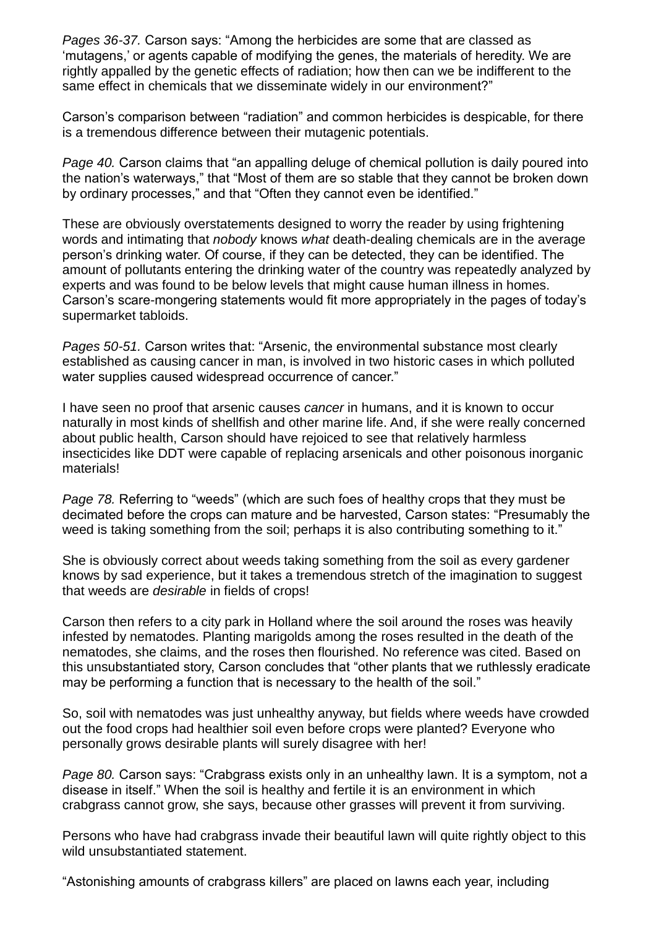*Pages 36-37.* Carson says: "Among the herbicides are some that are classed as 'mutagens,' or agents capable of modifying the genes, the materials of heredity. We are rightly appalled by the genetic effects of radiation; how then can we be indifferent to the same effect in chemicals that we disseminate widely in our environment?"

Carson's comparison between "radiation" and common herbicides is despicable, for there is a tremendous difference between their mutagenic potentials.

*Page 40.* Carson claims that "an appalling deluge of chemical pollution is daily poured into the nation's waterways," that "Most of them are so stable that they cannot be broken down by ordinary processes," and that "Often they cannot even be identified."

These are obviously overstatements designed to worry the reader by using frightening words and intimating that *nobody* knows *what* death-dealing chemicals are in the average person's drinking water. Of course, if they can be detected, they can be identified. The amount of pollutants entering the drinking water of the country was repeatedly analyzed by experts and was found to be below levels that might cause human illness in homes. Carson's scare-mongering statements would fit more appropriately in the pages of today's supermarket tabloids.

*Pages 50-51.* Carson writes that: "Arsenic, the environmental substance most clearly established as causing cancer in man, is involved in two historic cases in which polluted water supplies caused widespread occurrence of cancer."

I have seen no proof that arsenic causes *cancer* in humans, and it is known to occur naturally in most kinds of shellfish and other marine life. And, if she were really concerned about public health, Carson should have rejoiced to see that relatively harmless insecticides like DDT were capable of replacing arsenicals and other poisonous inorganic materials!

*Page 78.* Referring to "weeds" (which are such foes of healthy crops that they must be decimated before the crops can mature and be harvested, Carson states: "Presumably the weed is taking something from the soil; perhaps it is also contributing something to it."

She is obviously correct about weeds taking something from the soil as every gardener knows by sad experience, but it takes a tremendous stretch of the imagination to suggest that weeds are *desirable* in fields of crops!

Carson then refers to a city park in Holland where the soil around the roses was heavily infested by nematodes. Planting marigolds among the roses resulted in the death of the nematodes, she claims, and the roses then flourished. No reference was cited. Based on this unsubstantiated story, Carson concludes that "other plants that we ruthlessly eradicate may be performing a function that is necessary to the health of the soil."

So, soil with nematodes was just unhealthy anyway, but fields where weeds have crowded out the food crops had healthier soil even before crops were planted? Everyone who personally grows desirable plants will surely disagree with her!

*Page 80.* Carson says: "Crabgrass exists only in an unhealthy lawn. It is a symptom, not a disease in itself." When the soil is healthy and fertile it is an environment in which crabgrass cannot grow, she says, because other grasses will prevent it from surviving.

Persons who have had crabgrass invade their beautiful lawn will quite rightly object to this wild unsubstantiated statement.

"Astonishing amounts of crabgrass killers" are placed on lawns each year, including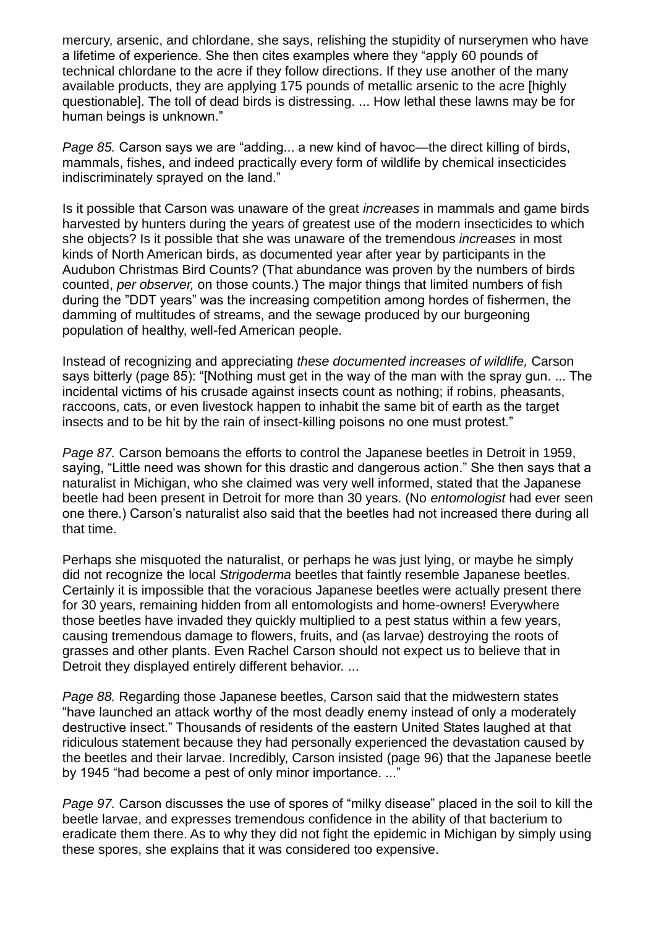mercury, arsenic, and chlordane, she says, relishing the stupidity of nurserymen who have a lifetime of experience. She then cites examples where they "apply 60 pounds of technical chlordane to the acre if they follow directions. If they use another of the many available products, they are applying 175 pounds of metallic arsenic to the acre [highly questionable]. The toll of dead birds is distressing. ... How lethal these lawns may be for human beings is unknown."

*Page 85.* Carson says we are "adding... a new kind of havoc—the direct killing of birds, mammals, fishes, and indeed practically every form of wildlife by chemical insecticides indiscriminately sprayed on the land."

Is it possible that Carson was unaware of the great *increases* in mammals and game birds harvested by hunters during the years of greatest use of the modern insecticides to which she objects? Is it possible that she was unaware of the tremendous *increases* in most kinds of North American birds, as documented year after year by participants in the Audubon Christmas Bird Counts? (That abundance was proven by the numbers of birds counted, *per observer,* on those counts.) The major things that limited numbers of fish during the "DDT years" was the increasing competition among hordes of fishermen, the damming of multitudes of streams, and the sewage produced by our burgeoning population of healthy, well-fed American people.

Instead of recognizing and appreciating *these documented increases of wildlife,* Carson says bitterly (page 85): "[Nothing must get in the way of the man with the spray gun. ... The incidental victims of his crusade against insects count as nothing; if robins, pheasants, raccoons, cats, or even livestock happen to inhabit the same bit of earth as the target insects and to be hit by the rain of insect-killing poisons no one must protest."

*Page 87.* Carson bemoans the efforts to control the Japanese beetles in Detroit in 1959, saying, "Little need was shown for this drastic and dangerous action." She then says that a naturalist in Michigan, who she claimed was very well informed, stated that the Japanese beetle had been present in Detroit for more than 30 years. (No *entomologist* had ever seen one there.) Carson's naturalist also said that the beetles had not increased there during all that time.

Perhaps she misquoted the naturalist, or perhaps he was just lying, or maybe he simply did not recognize the local *Strigoderma* beetles that faintly resemble Japanese beetles. Certainly it is impossible that the voracious Japanese beetles were actually present there for 30 years, remaining hidden from all entomologists and home-owners! Everywhere those beetles have invaded they quickly multiplied to a pest status within a few years, causing tremendous damage to flowers, fruits, and (as larvae) destroying the roots of grasses and other plants. Even Rachel Carson should not expect us to believe that in Detroit they displayed entirely different behavior. ...

*Page 88.* Regarding those Japanese beetles, Carson said that the midwestern states "have launched an attack worthy of the most deadly enemy instead of only a moderately destructive insect." Thousands of residents of the eastern United States laughed at that ridiculous statement because they had personally experienced the devastation caused by the beetles and their larvae. Incredibly, Carson insisted (page 96) that the Japanese beetle by 1945 "had become a pest of only minor importance. ..."

*Page 97.* Carson discusses the use of spores of "milky disease" placed in the soil to kill the beetle larvae, and expresses tremendous confidence in the ability of that bacterium to eradicate them there. As to why they did not fight the epidemic in Michigan by simply using these spores, she explains that it was considered too expensive.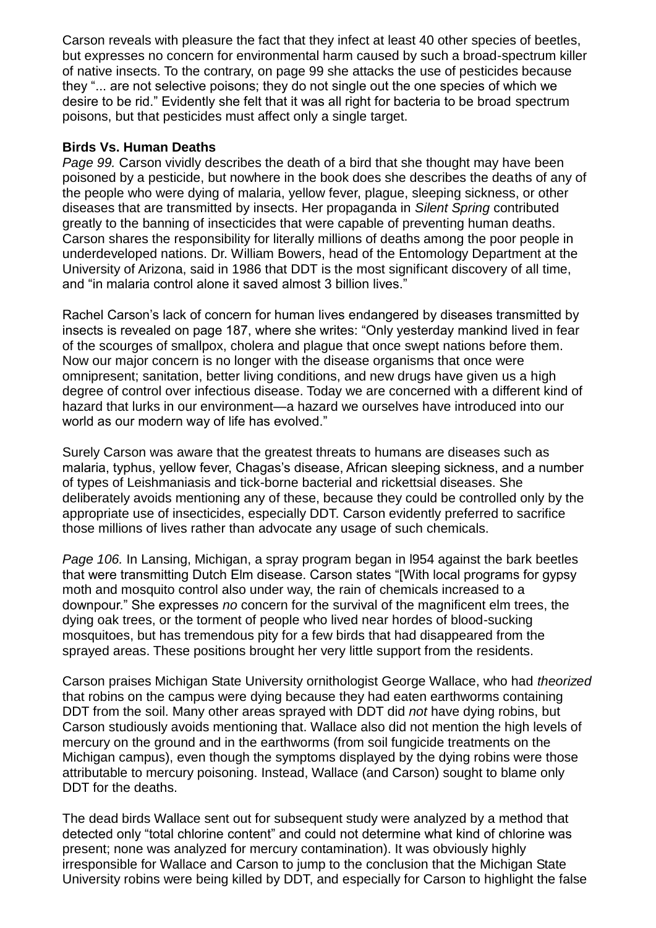Carson reveals with pleasure the fact that they infect at least 40 other species of beetles, but expresses no concern for environmental harm caused by such a broad-spectrum killer of native insects. To the contrary, on page 99 she attacks the use of pesticides because they "... are not selective poisons; they do not single out the one species of which we desire to be rid." Evidently she felt that it was all right for bacteria to be broad spectrum poisons, but that pesticides must affect only a single target.

## **Birds Vs. Human Deaths**

*Page 99.* Carson vividly describes the death of a bird that she thought may have been poisoned by a pesticide, but nowhere in the book does she describes the deaths of any of the people who were dying of malaria, yellow fever, plague, sleeping sickness, or other diseases that are transmitted by insects. Her propaganda in *Silent Spring* contributed greatly to the banning of insecticides that were capable of preventing human deaths. Carson shares the responsibility for literally millions of deaths among the poor people in underdeveloped nations. Dr. William Bowers, head of the Entomology Department at the University of Arizona, said in 1986 that DDT is the most significant discovery of all time, and "in malaria control alone it saved almost 3 billion lives."

Rachel Carson's lack of concern for human lives endangered by diseases transmitted by insects is revealed on page 187, where she writes: "Only yesterday mankind lived in fear of the scourges of smallpox, cholera and plague that once swept nations before them. Now our major concern is no longer with the disease organisms that once were omnipresent; sanitation, better living conditions, and new drugs have given us a high degree of control over infectious disease. Today we are concerned with a different kind of hazard that lurks in our environment—a hazard we ourselves have introduced into our world as our modern way of life has evolved."

Surely Carson was aware that the greatest threats to humans are diseases such as malaria, typhus, yellow fever, Chagas's disease, African sleeping sickness, and a number of types of Leishmaniasis and tick-borne bacterial and rickettsial diseases. She deliberately avoids mentioning any of these, because they could be controlled only by the appropriate use of insecticides, especially DDT. Carson evidently preferred to sacrifice those millions of lives rather than advocate any usage of such chemicals.

*Page 106.* In Lansing, Michigan, a spray program began in l954 against the bark beetles that were transmitting Dutch Elm disease. Carson states "[With local programs for gypsy moth and mosquito control also under way, the rain of chemicals increased to a downpour." She expresses *no* concern for the survival of the magnificent elm trees, the dying oak trees, or the torment of people who lived near hordes of blood-sucking mosquitoes, but has tremendous pity for a few birds that had disappeared from the sprayed areas. These positions brought her very little support from the residents.

Carson praises Michigan State University ornithologist George Wallace, who had *theorized* that robins on the campus were dying because they had eaten earthworms containing DDT from the soil. Many other areas sprayed with DDT did *not* have dying robins, but Carson studiously avoids mentioning that. Wallace also did not mention the high levels of mercury on the ground and in the earthworms (from soil fungicide treatments on the Michigan campus), even though the symptoms displayed by the dying robins were those attributable to mercury poisoning. Instead, Wallace (and Carson) sought to blame only DDT for the deaths.

The dead birds Wallace sent out for subsequent study were analyzed by a method that detected only "total chlorine content" and could not determine what kind of chlorine was present; none was analyzed for mercury contamination). It was obviously highly irresponsible for Wallace and Carson to jump to the conclusion that the Michigan State University robins were being killed by DDT, and especially for Carson to highlight the false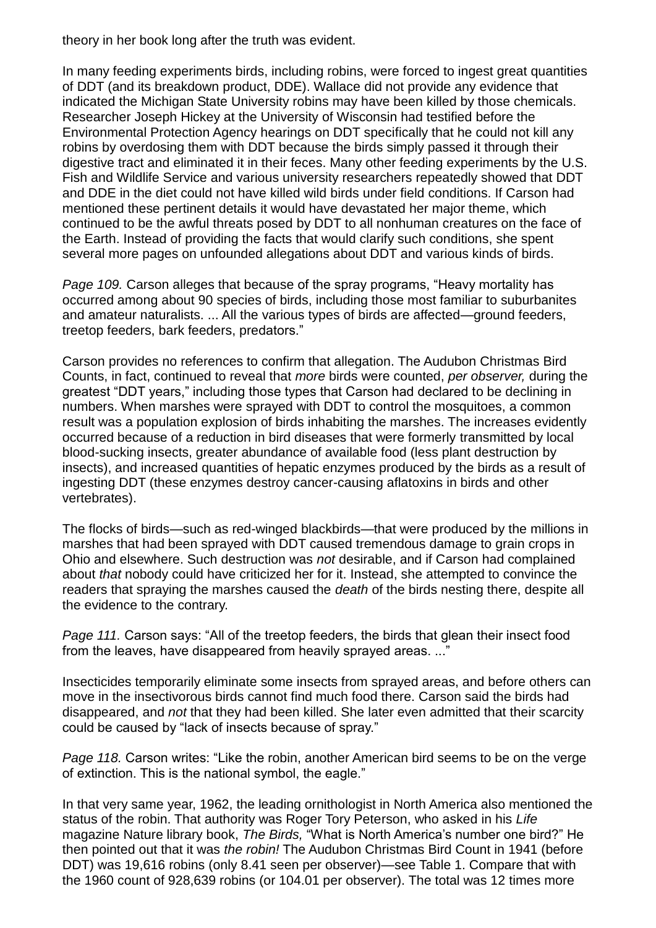theory in her book long after the truth was evident.

In many feeding experiments birds, including robins, were forced to ingest great quantities of DDT (and its breakdown product, DDE). Wallace did not provide any evidence that indicated the Michigan State University robins may have been killed by those chemicals. Researcher Joseph Hickey at the University of Wisconsin had testified before the Environmental Protection Agency hearings on DDT specifically that he could not kill any robins by overdosing them with DDT because the birds simply passed it through their digestive tract and eliminated it in their feces. Many other feeding experiments by the U.S. Fish and Wildlife Service and various university researchers repeatedly showed that DDT and DDE in the diet could not have killed wild birds under field conditions. If Carson had mentioned these pertinent details it would have devastated her major theme, which continued to be the awful threats posed by DDT to all nonhuman creatures on the face of the Earth. Instead of providing the facts that would clarify such conditions, she spent several more pages on unfounded allegations about DDT and various kinds of birds.

*Page 109.* Carson alleges that because of the spray programs, "Heavy mortality has occurred among about 90 species of birds, including those most familiar to suburbanites and amateur naturalists. ... All the various types of birds are affected—ground feeders, treetop feeders, bark feeders, predators."

Carson provides no references to confirm that allegation. The Audubon Christmas Bird Counts, in fact, continued to reveal that *more* birds were counted, *per observer,* during the greatest "DDT years," including those types that Carson had declared to be declining in numbers. When marshes were sprayed with DDT to control the mosquitoes, a common result was a population explosion of birds inhabiting the marshes. The increases evidently occurred because of a reduction in bird diseases that were formerly transmitted by local blood-sucking insects, greater abundance of available food (less plant destruction by insects), and increased quantities of hepatic enzymes produced by the birds as a result of ingesting DDT (these enzymes destroy cancer-causing aflatoxins in birds and other vertebrates).

The flocks of birds—such as red-winged blackbirds—that were produced by the millions in marshes that had been sprayed with DDT caused tremendous damage to grain crops in Ohio and elsewhere. Such destruction was *not* desirable, and if Carson had complained about *that* nobody could have criticized her for it. Instead, she attempted to convince the readers that spraying the marshes caused the *death* of the birds nesting there, despite all the evidence to the contrary.

*Page 111.* Carson says: "All of the treetop feeders, the birds that glean their insect food from the leaves, have disappeared from heavily sprayed areas. ..."

Insecticides temporarily eliminate some insects from sprayed areas, and before others can move in the insectivorous birds cannot find much food there. Carson said the birds had disappeared, and *not* that they had been killed. She later even admitted that their scarcity could be caused by "lack of insects because of spray."

*Page 118.* Carson writes: "Like the robin, another American bird seems to be on the verge of extinction. This is the national symbol, the eagle."

In that very same year, 1962, the leading ornithologist in North America also mentioned the status of the robin. That authority was Roger Tory Peterson, who asked in his *Life* magazine Nature library book, *The Birds,* "What is North America's number one bird?" He then pointed out that it was *the robin!* The Audubon Christmas Bird Count in 1941 (before DDT) was 19,616 robins (only 8.41 seen per observer)—see Table 1. Compare that with the 1960 count of 928,639 robins (or 104.01 per observer). The total was 12 times more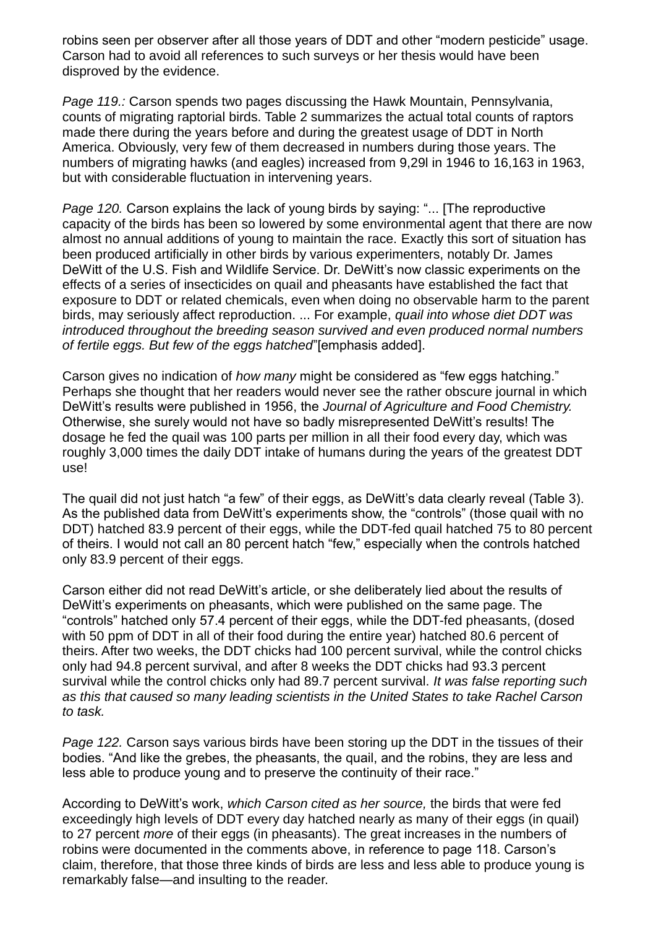robins seen per observer after all those years of DDT and other "modern pesticide" usage. Carson had to avoid all references to such surveys or her thesis would have been disproved by the evidence.

*Page 119.:* Carson spends two pages discussing the Hawk Mountain, Pennsylvania, counts of migrating raptorial birds. Table 2 summarizes the actual total counts of raptors made there during the years before and during the greatest usage of DDT in North America. Obviously, very few of them decreased in numbers during those years. The numbers of migrating hawks (and eagles) increased from 9,29l in 1946 to 16,163 in 1963, but with considerable fluctuation in intervening years.

*Page 120.* Carson explains the lack of young birds by saying: "... [The reproductive capacity of the birds has been so lowered by some environmental agent that there are now almost no annual additions of young to maintain the race. Exactly this sort of situation has been produced artificially in other birds by various experimenters, notably Dr. James DeWitt of the U.S. Fish and Wildlife Service. Dr. DeWitt's now classic experiments on the effects of a series of insecticides on quail and pheasants have established the fact that exposure to DDT or related chemicals, even when doing no observable harm to the parent birds, may seriously affect reproduction. ... For example, *quail into whose diet DDT was introduced throughout the breeding season survived and even produced normal numbers of fertile eggs. But few of the eggs hatched*"[emphasis added].

Carson gives no indication of *how many* might be considered as "few eggs hatching." Perhaps she thought that her readers would never see the rather obscure journal in which DeWitt's results were published in 1956, the *Journal of Agriculture and Food Chemistry.* Otherwise, she surely would not have so badly misrepresented DeWitt's results! The dosage he fed the quail was 100 parts per million in all their food every day, which was roughly 3,000 times the daily DDT intake of humans during the years of the greatest DDT use!

The quail did not just hatch "a few" of their eggs, as DeWitt's data clearly reveal (Table 3). As the published data from DeWitt's experiments show, the "controls" (those quail with no DDT) hatched 83.9 percent of their eggs, while the DDT-fed quail hatched 75 to 80 percent of theirs. I would not call an 80 percent hatch "few," especially when the controls hatched only 83.9 percent of their eggs.

Carson either did not read DeWitt's article, or she deliberately lied about the results of DeWitt's experiments on pheasants, which were published on the same page. The "controls" hatched only 57.4 percent of their eggs, while the DDT-fed pheasants, (dosed with 50 ppm of DDT in all of their food during the entire year) hatched 80.6 percent of theirs. After two weeks, the DDT chicks had 100 percent survival, while the control chicks only had 94.8 percent survival, and after 8 weeks the DDT chicks had 93.3 percent survival while the control chicks only had 89.7 percent survival. *It was false reporting such as this that caused so many leading scientists in the United States to take Rachel Carson to task.*

*Page 122.* Carson says various birds have been storing up the DDT in the tissues of their bodies. "And like the grebes, the pheasants, the quail, and the robins, they are less and less able to produce young and to preserve the continuity of their race."

According to DeWitt's work, *which Carson cited as her source,* the birds that were fed exceedingly high levels of DDT every day hatched nearly as many of their eggs (in quail) to 27 percent *more* of their eggs (in pheasants). The great increases in the numbers of robins were documented in the comments above, in reference to page 118. Carson's claim, therefore, that those three kinds of birds are less and less able to produce young is remarkably false—and insulting to the reader.